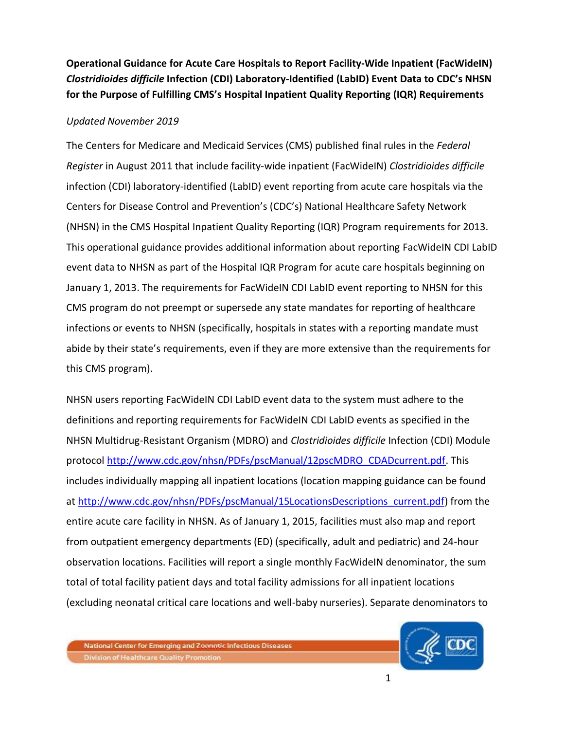**Operational Guidance for Acute Care Hospitals to Report Facility-Wide Inpatient (FacWideIN)**  *Clostridioides difficile* **Infection (CDI) Laboratory-Identified (LabID) Event Data to CDC's NHSN for the Purpose of Fulfilling CMS's Hospital Inpatient Quality Reporting (IQR) Requirements** 

## *Updated November 2019*

The Centers for Medicare and Medicaid Services (CMS) published final rules in the *Federal Register* in August 2011 that include facility-wide inpatient (FacWideIN) *Clostridioides difficile* infection (CDI) laboratory-identified (LabID) event reporting from acute care hospitals via the Centers for Disease Control and Prevention's (CDC's) National Healthcare Safety Network (NHSN) in the CMS Hospital Inpatient Quality Reporting (IQR) Program requirements for 2013. This operational guidance provides additional information about reporting FacWideIN CDI LabID event data to NHSN as part of the Hospital IQR Program for acute care hospitals beginning on January 1, 2013. The requirements for FacWideIN CDI LabID event reporting to NHSN for this CMS program do not preempt or supersede any state mandates for reporting of healthcare infections or events to NHSN (specifically, hospitals in states with a reporting mandate must abide by their state's requirements, even if they are more extensive than the requirements for this CMS program).

NHSN users reporting FacWideIN CDI LabID event data to the system must adhere to the definitions and reporting requirements for FacWideIN CDI LabID events as specified in the NHSN Multidrug-Resistant Organism (MDRO) and *Clostridioides difficile* Infection (CDI) Module protocol [http://www.cdc.gov/nhsn/PDFs/pscManual/12pscMDRO\\_CDADcurrent.pdf.](http://www.cdc.gov/nhsn/PDFs/pscManual/12pscMDRO_CDADcurrent.pdf) This includes individually mapping all inpatient locations (location mapping guidance can be found at [http://www.cdc.gov/nhsn/PDFs/pscManual/15LocationsDescriptions\\_current.pdf\)](http://www.cdc.gov/nhsn/PDFs/pscManual/15LocationsDescriptions_current.pdf) from the entire acute care facility in NHSN. As of January 1, 2015, facilities must also map and report from outpatient emergency departments (ED) (specifically, adult and pediatric) and 24-hour observation locations. Facilities will report a single monthly FacWideIN denominator, the sum total of total facility patient days and total facility admissions for all inpatient locations (excluding neonatal critical care locations and well-baby nurseries). Separate denominators to

National Center for Emerging and Zoonotic Infectious Diseases **Division of Healthcare Quality Promotion** 

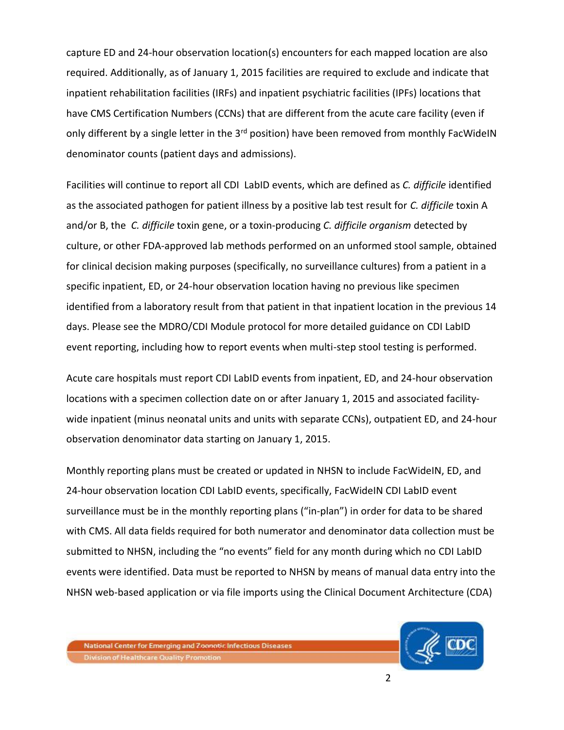capture ED and 24-hour observation location(s) encounters for each mapped location are also required. Additionally, as of January 1, 2015 facilities are required to exclude and indicate that inpatient rehabilitation facilities (IRFs) and inpatient psychiatric facilities (IPFs) locations that have CMS Certification Numbers (CCNs) that are different from the acute care facility (even if only different by a single letter in the 3<sup>rd</sup> position) have been removed from monthly FacWideIN denominator counts (patient days and admissions).

Facilities will continue to report all CDI LabID events, which are defined as *C. difficile* identified as the associated pathogen for patient illness by a positive lab test result for *C. difficile* toxin A and/or B, the *C. difficile* toxin gene, or a toxin-producing *C. difficile organism* detected by culture, or other FDA-approved lab methods performed on an unformed stool sample, obtained for clinical decision making purposes (specifically, no surveillance cultures) from a patient in a specific inpatient, ED, or 24-hour observation location having no previous like specimen identified from a laboratory result from that patient in that inpatient location in the previous 14 days. Please see the MDRO/CDI Module protocol for more detailed guidance on CDI LabID event reporting, including how to report events when multi-step stool testing is performed.

Acute care hospitals must report CDI LabID events from inpatient, ED, and 24-hour observation locations with a specimen collection date on or after January 1, 2015 and associated facilitywide inpatient (minus neonatal units and units with separate CCNs), outpatient ED, and 24-hour observation denominator data starting on January 1, 2015.

Monthly reporting plans must be created or updated in NHSN to include FacWideIN, ED, and 24-hour observation location CDI LabID events, specifically, FacWideIN CDI LabID event surveillance must be in the monthly reporting plans ("in-plan") in order for data to be shared with CMS. All data fields required for both numerator and denominator data collection must be submitted to NHSN, including the "no events" field for any month during which no CDI LabID events were identified. Data must be reported to NHSN by means of manual data entry into the NHSN web-based application or via file imports using the Clinical Document Architecture (CDA)